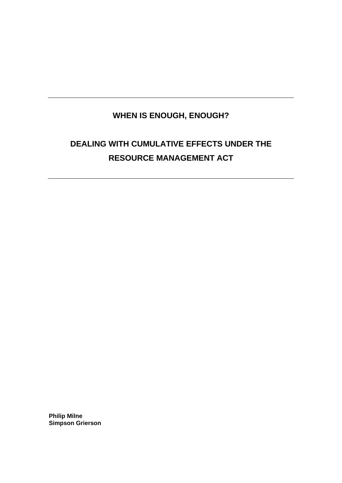# **WHEN IS ENOUGH, ENOUGH?**

# **DEALING WITH CUMULATIVE EFFECTS UNDER THE RESOURCE MANAGEMENT ACT**

**Philip Milne Simpson Grierson**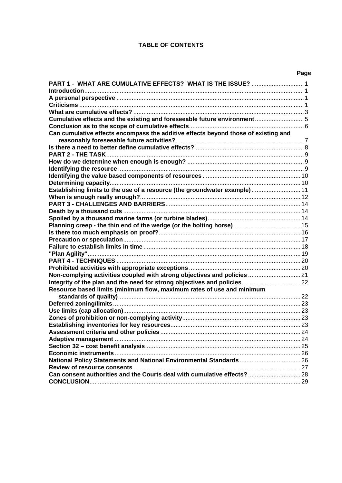# **TABLE OF CONTENTS**

| PART 1 - WHAT ARE CUMULATIVE EFFECTS? WHAT IS THE ISSUE?  1                        |  |
|------------------------------------------------------------------------------------|--|
|                                                                                    |  |
|                                                                                    |  |
|                                                                                    |  |
|                                                                                    |  |
| Cumulative effects and the existing and foreseeable future environment5            |  |
|                                                                                    |  |
| Can cumulative effects encompass the additive effects beyond those of existing and |  |
|                                                                                    |  |
|                                                                                    |  |
|                                                                                    |  |
|                                                                                    |  |
|                                                                                    |  |
|                                                                                    |  |
|                                                                                    |  |
| Establishing limits to the use of a resource (the groundwater example) 11          |  |
|                                                                                    |  |
|                                                                                    |  |
|                                                                                    |  |
|                                                                                    |  |
|                                                                                    |  |
|                                                                                    |  |
|                                                                                    |  |
|                                                                                    |  |
|                                                                                    |  |
|                                                                                    |  |
|                                                                                    |  |
| Non-complying activities coupled with strong objectives and policies  21           |  |
|                                                                                    |  |
| Resource based limits (minimum flow, maximum rates of use and minimum              |  |
|                                                                                    |  |
|                                                                                    |  |
|                                                                                    |  |
|                                                                                    |  |
|                                                                                    |  |
|                                                                                    |  |
|                                                                                    |  |
|                                                                                    |  |
|                                                                                    |  |
| National Policy Statements and National Environmental Standards  26                |  |
|                                                                                    |  |
| Can consent authorities and the Courts deal with cumulative effects? 28            |  |
|                                                                                    |  |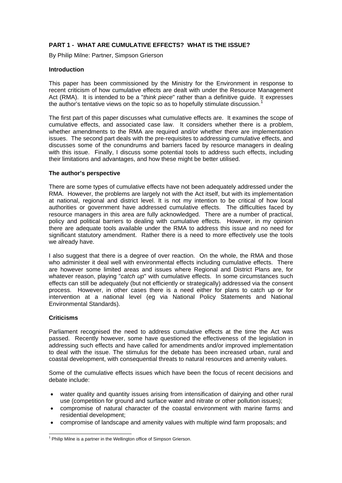# <span id="page-2-0"></span>**PART 1 - WHAT ARE CUMULATIVE EFFECTS? WHAT IS THE ISSUE?**

By Philip Milne: Partner, Simpson Grierson

#### **Introduction**

This paper has been commissioned by the Ministry for the Environment in response to recent criticism of how cumulative effects are dealt with under the Resource Management Act (RMA). It is intended to be a "*think piece*" rather than a definitive guide. It expresses the author's tentative views on the topic so as to hopefully stimulate discussion.<sup>[1](#page-2-1)</sup>

The first part of this paper discusses what cumulative effects are. It examines the scope of cumulative effects, and associated case law. It considers whether there is a problem, whether amendments to the RMA are required and/or whether there are implementation issues. The second part deals with the pre-requisites to addressing cumulative effects, and discusses some of the conundrums and barriers faced by resource managers in dealing with this issue. Finally, I discuss some potential tools to address such effects, including their limitations and advantages, and how these might be better utilised.

#### **The author's perspective**

There are some types of cumulative effects have not been adequately addressed under the RMA. However, the problems are largely not with the Act itself, but with its implementation at national, regional and district level. It is not my intention to be critical of how local authorities or government have addressed cumulative effects. The difficulties faced by resource managers in this area are fully acknowledged. There are a number of practical, policy and political barriers to dealing with cumulative effects. However, in my opinion there are adequate tools available under the RMA to address this issue and no need for significant statutory amendment. Rather there is a need to more effectively use the tools we already have.

I also suggest that there is a degree of over reaction. On the whole, the RMA and those who administer it deal well with environmental effects including cumulative effects. There are however some limited areas and issues where Regional and District Plans are, for whatever reason, playing "*catch up*" with cumulative effects. In some circumstances such effects can still be adequately (but not efficiently or strategically) addressed via the consent process. However, in other cases there is a need either for plans to catch up or for intervention at a national level (eg via National Policy Statements and National Environmental Standards).

#### **Criticisms**

Parliament recognised the need to address cumulative effects at the time the Act was passed. Recently however, some have questioned the effectiveness of the legislation in addressing such effects and have called for amendments and/or improved implementation to deal with the issue. The stimulus for the debate has been increased urban, rural and coastal development, with consequential threats to natural resources and amenity values.

Some of the cumulative effects issues which have been the focus of recent decisions and debate include:

- water quality and quantity issues arising from intensification of dairying and other rural use (competition for ground and surface water and nitrate or other pollution issues);
- compromise of natural character of the coastal environment with marine farms and residential development;
- compromise of landscape and amenity values with multiple wind farm proposals; and

<span id="page-2-1"></span> 1 Philip Milne is a partner in the Wellington office of Simpson Grierson.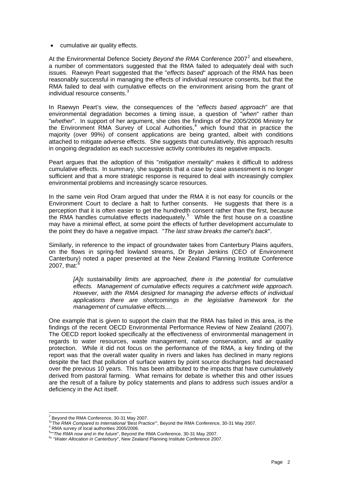• cumulative air quality effects.

At the Environmental Defence Society *Beyond the RMA* Conference [2](#page-3-0)007<sup>2</sup> and elsewhere, a number of commentators suggested that the RMA failed to adequately deal with such issues. Raewyn Peart suggested that the "*effects based*" approach of the RMA has been reasonably successful in managing the effects of individual resource consents, but that the RMA failed to deal with cumulative effects on the environment arising from the grant of individual resource consents.<sup>[3](#page-3-1)</sup>

In Raewyn Peart's view, the consequences of the "*effects based approach*" are that environmental degradation becomes a timing issue, a question of "*when*" rather than "*whether*". In support of her argument, she cites the findings of the 2005/2006 Ministry for the Environment RMA Survey of Local Authorities,<sup>[4](#page-3-2)</sup> which found that in practice the majority (over 99%) of consent applications are being granted, albeit with conditions attached to mitigate adverse effects. She suggests that cumulatively, this approach results in ongoing degradation as each successive activity contributes its negative impacts.

Peart argues that the adoption of this "*mitigation mentality*" makes it difficult to address cumulative effects. In summary, she suggests that a case by case assessment is no longer sufficient and that a more strategic response is required to deal with increasingly complex environmental problems and increasingly scarce resources.

In the same vein Rod Oram argued that under the RMA it is not easy for councils or the Environment Court to declare a halt to further consents. He suggests that there is a perception that it is often easier to get the hundredth consent rather than the first, because the RMA handles cumulative effects inadequately.<sup>[5](#page-3-3)</sup> While the first house on a coastline may have a minimal effect, at some point the effects of further development accumulate to the point they do have a negative impact. "*The last straw breaks the camel's back*".

Similarly, in reference to the impact of groundwater takes from Canterbury Plains aquifers, on the flows in spring-fed lowland streams, Dr Bryan Jenkins (CEO of Environment Canterbury) noted a paper presented at the New Zealand Planning Institute Conference 2007, that: $6$ 

*[A]s sustainability limits are approached, there is the potential for cumulative effects. Management of cumulative effects requires a catchment wide approach. However, with the RMA designed for managing the adverse effects of individual applications there are shortcomings in the legislative framework for the management of cumulative effects….*

One example that is given to support the claim that the RMA has failed in this area, is the findings of the recent OECD Environmental Performance Review of New Zealand (2007). The OECD report looked specifically at the effectiveness of environmental management in regards to water resources, waste management, nature conservation, and air quality protection. While it did not focus on the performance of the RMA, a key finding of the report was that the overall water quality in rivers and lakes has declined in many regions despite the fact that pollution of surface waters by point source discharges had decreased over the previous 10 years. This has been attributed to the impacts that have cumulatively derived from pastoral farming. What remains for debate is whether this and other issues are the result of a failure by policy statements and plans to address such issues and/or a deficiency in the Act itself.

-

<sup>2</sup> Beyond the RMA Conference, 30-31 May 2007.

<span id="page-3-1"></span><span id="page-3-0"></span><sup>&</sup>lt;sup>3</sup>" The RMA Compared to International 'Best Practice'", Beyond the RMA Conference, 30-31 May 2007.<br><sup>4</sup> PMA survey of lessl sytherities 2005/2006

RMA survey of local authorities 2005/2006.

<span id="page-3-3"></span><span id="page-3-2"></span><sup>&</sup>lt;sup>5</sup><sup>11</sup> The RMA now and in the future", Beyond the RMA Conference, 30-31 May 2007.<br><sup>6</sup><sup>11</sup> "*Motor Allegetian in Conterbury*", Naw Zaeland Planning Institute Conference 200

<span id="page-3-4"></span><sup>&</sup>lt;sup>6</sup>" "Water Allocation in Canterbury", New Zealand Planning Institute Conference 2007.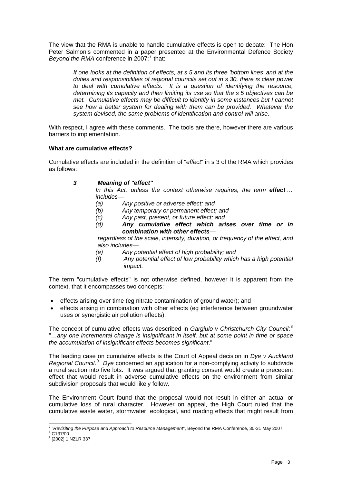<span id="page-4-0"></span>The view that the RMA is unable to handle cumulative effects is open to debate: The Hon Peter Salmon's commented in a paper presented at the Environmental Defence Society Beyond the RMA conference in 200[7](#page-4-1):<sup>7</sup> that:

*If one looks at the definition of effects, at s 5 and its three 'bottom lines' and at the duties and responsibilities of regional councils set out in s 30, there is clear power to deal with cumulative effects. It is a question of identifying the resource, determining its capacity and then limiting its use so that the s 5 objectives can be met. Cumulative effects may be difficult to identify in some instances but I cannot see how a better system for dealing with them can be provided. Whatever the system devised, the same problems of identification and control will arise*.

With respect, I agree with these comments. The tools are there, however there are various barriers to implementation.

# **What are cumulative effects?**

Cumulative effects are included in the definition of "*effect*" in s 3 of the RMA which provides as follows:

*3 Meaning of "effect"* 

In this Act, unless the context otherwise requires, the term **effect** ... *includes—* 

- *(a) Any positive or adverse effect; and*
- *(b) Any temporary or permanent effect; and*
- *(c) Any past, present, or future effect; and*
- *(d) Any cumulative effect which arises over time or in combination with other effects—*

*regardless of the scale, intensity, duration, or frequency of the effect, and also includes—* 

- *(e) Any potential effect of high probability; and*
- *(f) Any potential effect of low probability which has a high potential impact.*

The term "cumulative effects" is not otherwise defined, however it is apparent from the context, that it encompasses two concepts:

- effects arising over time (eg nitrate contamination of ground water); and
- effects arising in combination with other effects (eg interference between groundwater uses or synergistic air pollution effects).

The concept of cumulative effects was described in *Gargiulo v Christchurch City Council*: [8](#page-4-2) "…*any one incremental change is insignificant in itself, but at some point in time or space the accumulation of insignificant effects becomes significant*."

The leading case on cumulative effects is the Court of Appeal decision in *Dye v Auckland*  Regional Council.<sup>[9](#page-4-3)</sup> Dye concerned an application for a non-complying activity to subdivide a rural section into five lots. It was argued that granting consent would create a precedent effect that would result in adverse cumulative effects on the environment from similar subdivision proposals that would likely follow.

The Environment Court found that the proposal would not result in either an actual or cumulative loss of rural character. However on appeal, the High Court ruled that the cumulative waste water, stormwater, ecological, and roading effects that might result from

<sup>-</sup><sup>7</sup> "*Revisiting the Purpose and Approach to Resource Management*", Beyond the RMA Conference, 30-31 May 2007.<br><sup>8</sup> C137/00

<span id="page-4-3"></span><span id="page-4-2"></span><span id="page-4-1"></span>

<sup>&</sup>lt;sup>9</sup> [2002] 1 NZLR 337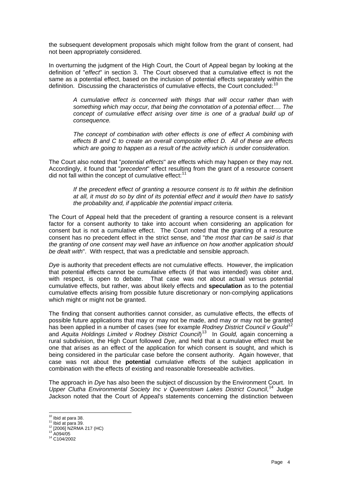the subsequent development proposals which might follow from the grant of consent, had not been appropriately considered.

In overturning the judgment of the High Court, the Court of Appeal began by looking at the definition of "*effect*" in section 3. The Court observed that a cumulative effect is not the same as a potential effect, based on the inclusion of potential effects separately within the definition. Discussing the characteristics of cumulative effects, the Court concluded:<sup>[10](#page-5-0)</sup>

*A cumulative effect is concerned with things that will occur rather than with something which may occur, that being the connotation of a potential effect…. The concept of cumulative effect arising over time is one of a gradual build up of consequence.*

*The concept of combination with other effects is one of effect A combining with effects B and C to create an overall composite effect D. All of these are effects which are going to happen as a result of the activity which is under consideration*.

The Court also noted that "*potential effects*" are effects which may happen or they may not. Accordingly, it found that "*precedent*" effect resulting from the grant of a resource consent did not fall within the concept of cumulative effect: $11$ 

*If the precedent effect of granting a resource consent is to fit within the definition at all, it must do so by dint of its potential effect and it would then have to satisfy the probability and, if applicable the potential impact criteria.* 

The Court of Appeal held that the precedent of granting a resource consent is a relevant factor for a consent authority to take into account when considering an application for consent but is not a cumulative effect. The Court noted that the granting of a resource consent has no precedent effect in the strict sense, and "*the most that can be said is that the granting of one consent may well have an influence on how another application should be dealt with*". With respect, that was a predictable and sensible approach.

*Dye* is authority that precedent effects are not cumulative effects. However, the implication that potential effects cannot be cumulative effects (if that was intended) was obiter and, with respect, is open to debate. That case was not about actual versus potential cumulative effects, but rather, was about likely effects and **speculation** as to the potential cumulative effects arising from possible future discretionary or non-complying applications which might or might not be granted.

The finding that consent authorities cannot consider, as cumulative effects, the effects of possible future applications that may or may not be made, and may or may not be granted has been applied in a number of cases (see for example *Rodney District Council v Gould*<sup>[12](#page-5-2)</sup> and *Aquita Holdings Limited v Rodney District Council*) [13](#page-5-3) In *Gould,* again concerning a rural subdivision, the High Court followed *Dye*, and held that a cumulative effect must be one that arises as an effect of the application for which consent is sought, and which is being considered in the particular case before the consent authority. Again however, that case was not about the **potential** cumulative effects of the subject application in combination with the effects of existing and reasonable foreseeable activities.

The approach in *Dye* has also been the subject of discussion by the Environment Court. In Upper Clutha Environmental Society Inc v Queenstown Lakes District Council,<sup>[14](#page-5-4)</sup> Judge Jackson noted that the Court of Appeal's statements concerning the distinction between

<span id="page-5-0"></span> $10$  lbid at para 38.

<span id="page-5-2"></span><span id="page-5-1"></span><sup>11</sup> Ibid at para 39.<br><sup>12</sup> [2006] NZRMA 217 (HC) <sup>13</sup> A094/05 <sup>14</sup> C104/2002

<span id="page-5-4"></span><span id="page-5-3"></span>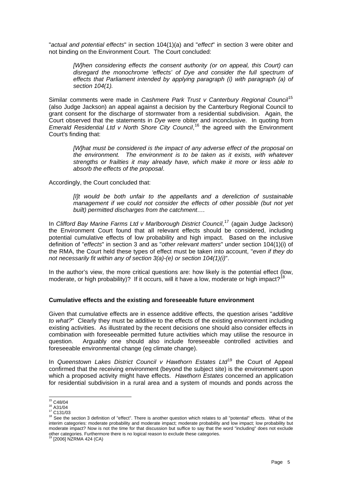<span id="page-6-0"></span>"*actual and potential effects*" in section 104(1)(a) and "*effect*" in section 3 were obiter and not binding on the Environment Court. The Court concluded:

*[W]hen considering effects the consent authority (or on appeal, this Court) can*  disregard the monochrome 'effects' of Dye and consider the full spectrum of *effects that Parliament intended by applying paragraph (i) with paragraph (a) of section 104(1).*

Similar comments were made in *Cashmere Park Trust v Canterbury Regional Council*[15](#page-6-1) (also Judge Jackson) an appeal against a decision by the Canterbury Regional Council to grant consent for the discharge of stormwater from a residential subdivision. Again, the Court observed that the statements in *Dye* were obiter and inconclusive. In quoting from Emerald Residential Ltd v North Shore City Council,<sup>[16](#page-6-2)</sup> the agreed with the Environment Court's finding that:

*[W]hat must be considered is the impact of any adverse effect of the proposal on the environment. The environment is to be taken as it exists, with whatever strengths or frailties it may already have, which make it more or less able to absorb the effects of the proposal*.

Accordingly, the Court concluded that:

*[I]t would be both unfair to the appellants and a dereliction of sustainable management if we could not consider the effects of other possible (but not yet built) permitted discharges from the catchment….* 

In *Clifford Bay Marine Farms Ltd v Marlborough District Council*, [17](#page-6-3) (again Judge Jackson) the Environment Court found that all relevant effects should be considered, including potential cumulative effects of low probability and high impact. Based on the inclusive definition of "*effects*" in section 3 and as "*other relevant matters*" under section 104(1)(i) of the RMA, the Court held these types of effect must be taken into account, "*even if they do not necessarily fit within any of section 3(a)-(e) or section 104(1)(i)*".

In the author's view, the more critical questions are: how likely is the potential effect (low, moderate, or high probability)? If it occurs, will it have a low, moderate or high impact?<sup>[18](#page-6-4)</sup>

#### **Cumulative effects and the existing and foreseeable future environment**

Given that cumulative effects are in essence additive effects, the question arises "*additive to what?*" Clearly they must be additive to the effects of the existing environment including existing activities. As illustrated by the recent decisions one should also consider effects in combination with foreseeable permitted future activities which may utilise the resource in question. Arguably one should also include foreseeable controlled activities and foreseeable environmental change (eg climate change).

In *Queenstown Lakes District Council v Hawthorn Estates Ltd*[19](#page-6-5) the Court of Appeal confirmed that the receiving environment (beyond the subject site) is the environment upon which a proposed activity might have effects. *Hawthorn Estates* concerned an application for residential subdivision in a rural area and a system of mounds and ponds across the

<sup>&</sup>lt;sup>15</sup> C48/04

<span id="page-6-4"></span>

<span id="page-6-3"></span><span id="page-6-2"></span><span id="page-6-1"></span>URG/04<br>16 A31/04<br><sup>17</sup> C131/03<br><sup>18</sup> See the section 3 definition of "effect". There is another question which relates to all "potential" effects. What of the interim categories: moderate probability and moderate impact; moderate probability and low impact; low probability but moderate impact? Now is not the time for that discussion but suffice to say that the word "including" does not exclude other categories. Furthermore there is no logical reason to exclude these categories. 19 [2006] NZRMA 424 (CA)

<span id="page-6-5"></span>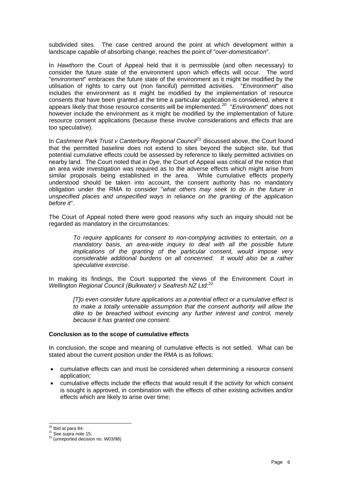<span id="page-7-0"></span>subdivided sites. The case centred around the point at which development within a landscape capable of absorbing change, reaches the point of "*over-domestication*".

In *Hawthorn* the Court of Appeal held that it is permissible (and often necessary) to consider the future state of the environment upon which effects will occur. The word "*environment*" embraces the future state of the environment as it might be modified by the utilisation of rights to carry out (non fanciful) permitted activities. "*Environment*" also includes the environment as it might be modified by the implementation of resource consents that have been granted at the time a particular application is considered, where it appears likely that those resource consents will be implemented.[20](#page-7-1) "*Environment*" does not however include the environment as it might be modified by the implementation of future resource consent applications (because these involve considerations and effects that are too speculative).

In *Cashmere Park Trust v Canterbury Regional Council<sup>[21](#page-7-2)</sup>* discussed above, the Court found that the permitted baseline does not extend to sites beyond the subject site, but that potential cumulative effects could be assessed by reference to likely permitted activities on nearby land. The Court noted that in *Dye*, the Court of Appeal was critical of the notion that an area wide investigation was required as to the adverse effects which might arise from similar proposals being established in the area. While cumulative effects properly understood should be taken into account, the consent authority has no mandatory obligation under the RMA to consider "*what others may seek to do in the future in unspecified places and unspecified ways in reliance on the granting of the application before it*".

The Court of Appeal noted there were good reasons why such an inquiry should not be regarded as mandatory in the circumstances:

*To require applicants for consent to non-complying activities to entertain, on a mandatory basis, an area-wide inquiry to deal with all the possible future implications of the granting of the particular consent, would impose very considerable additional burdens on all concerned. It would also be a rather speculative exercise*.

In making its findings, the Court supported the views of the Environment Court in *Wellington Regional Council (Bulkwater) v Seafresh NZ Ltd:*[22](#page-7-3)

*[T]o even consider future applications as a potential effect or a cumulative effect is to make a totally untenable assumption that the consent authority will allow the dike to be breached without evincing any further interest and control, merely because it has granted one consent.* 

#### **Conclusion as to the scope of cumulative effects**

In conclusion, the scope and meaning of cumulative effects is not settled. What can be stated about the current position under the RMA is as follows:

- cumulative effects can and must be considered when determining a resource consent application;
- cumulative effects include the effects that would result if the activity for which consent is sought is approved, in combination with the effects of other existing activities and/or effects which are likely to arise over time;

<sup>&</sup>lt;sup>20</sup> Ibid at para 84.

<span id="page-7-3"></span><span id="page-7-2"></span><span id="page-7-1"></span> $\frac{21}{22}$  See supra note 15.<br> $\frac{22}{22}$  (unreported decision no. W03/98)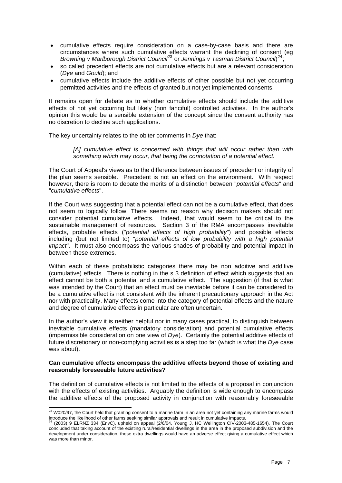- <span id="page-8-0"></span>• cumulative effects require consideration on a case-by-case basis and there are circumstances where such cumulative effects warrant the declining of consent (eg Browning v Marlborough District Council<sup>[23](#page-8-1)</sup> or Jennings v Tasman District Council)<sup>[24](#page-8-2)</sup>;
- so called precedent effects are not cumulative effects but are a relevant consideration (*Dye* and *Gould*); and
- cumulative effects include the additive effects of other possible but not yet occurring permitted activities and the effects of granted but not yet implemented consents.

It remains open for debate as to whether cumulative effects should include the additive effects of not yet occurring but likely (non fanciful) controlled activities. In the author's opinion this would be a sensible extension of the concept since the consent authority has no discretion to decline such applications.

The key uncertainty relates to the obiter comments in *Dye* that:

*[A] cumulative effect is concerned with things that will occur rather than with something which may occur, that being the connotation of a potential effect.*

The Court of Appeal's views as to the difference between issues of precedent or integrity of the plan seems sensible. Precedent is not an effect on the environment. With respect however, there is room to debate the merits of a distinction between "*potential effects*" and "*cumulative effects*".

If the Court was suggesting that a potential effect can not be a cumulative effect, that does not seem to logically follow. There seems no reason why decision makers should not consider potential cumulative effects. Indeed, that would seem to be critical to the sustainable management of resources. Section 3 of the RMA encompasses inevitable effects, probable effects ("*potential effects of high probability*") and possible effects including (but not limited to) "*potential effects of low probability with a high potential impact*". It must also encompass the various shades of probability and potential impact in between these extremes.

Within each of these probabilistic categories there may be non additive and additive (cumulative) effects. There is nothing in the s 3 definition of effect which suggests that an effect cannot be both a potential and a cumulative effect. The suggestion (if that is what was intended by the Court) that an effect must be inevitable before it can be considered to be a cumulative effect is not consistent with the inherent precautionary approach in the Act nor with practicality. Many effects come into the category of potential effects and the nature and degree of cumulative effects in particular are often uncertain.

In the author's view it is neither helpful nor in many cases practical, to distinguish between inevitable cumulative effects (mandatory consideration) and potential cumulative effects (impermissible consideration on one view of *Dye*). Certainly the potential additive effects of future discretionary or non-complying activities is a step too far (which is what the *Dye* case was about).

#### **Can cumulative effects encompass the additive effects beyond those of existing and reasonably foreseeable future activities?**

The definition of cumulative effects is not limited to the effects of a proposal in conjunction with the effects of existing activities. Arguably the definition is wide enough to encompass the additive effects of the proposed activity in conjunction with reasonably foreseeable

-

<span id="page-8-1"></span> $^{23}$  W020/97, the Court held that granting consent to a marine farm in an area not yet containing any marine farms would introduce the likelihood of other farms seeking similar approvals and result in cumulative impacts.<br><sup>24</sup> (2003) 9 ELRNZ 334 (EnvC), upheld on appeal (2/6/04, Young J, HC Wellington CIV-2003-485-1654). The Court

<span id="page-8-2"></span>concluded that taking account of the existing rural/residential dwellings in the area in the proposed subdivision and the development under consideration, these extra dwellings would have an adverse effect giving a cumulative effect which was more than minor.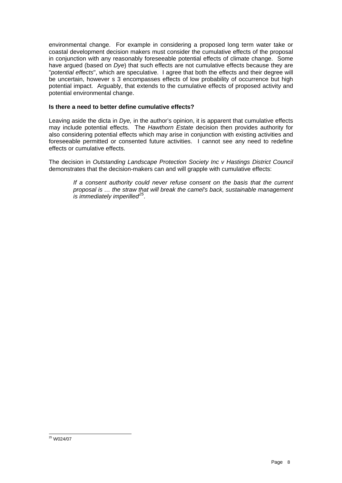<span id="page-9-0"></span>environmental change. For example in considering a proposed long term water take or coastal development decision makers must consider the cumulative effects of the proposal in conjunction with any reasonably foreseeable potential effects of climate change. Some have argued (based on *Dye*) that such effects are not cumulative effects because they are "*potential effects*", which are speculative. I agree that both the effects and their degree will be uncertain, however s 3 encompasses effects of low probability of occurrence but high potential impact. Arguably, that extends to the cumulative effects of proposed activity and potential environmental change.

# **Is there a need to better define cumulative effects?**

Leaving aside the dicta in *Dye,* in the author's opinion, it is apparent that cumulative effects may include potential effects. The *Hawthorn Estate* decision then provides authority for also considering potential effects which may arise in conjunction with existing activities and foreseeable permitted or consented future activities. I cannot see any need to redefine effects or cumulative effects.

The decision in *Outstanding Landscape Protection Society Inc v Hastings District Council* demonstrates that the decision-makers can and will grapple with cumulative effects:

*If a consent authority could never refuse consent on the basis that the current proposal is … the straw that will break the camel's back, sustainable management is immediately imperilled[25](#page-9-1).*

<span id="page-9-1"></span><sup>-</sup>25 W024/07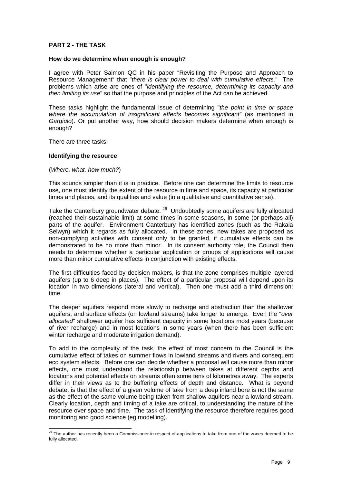#### <span id="page-10-0"></span>**PART 2 - THE TASK**

#### **How do we determine when enough is enough?**

I agree with Peter Salmon QC in his paper "Revisiting the Purpose and Approach to Resource Management" that "*there is clear power to deal with cumulative effects.*" The problems which arise are ones of "*identifying the resource, determining its capacity and then limiting its use*" so that the purpose and principles of the Act can be achieved.

These tasks highlight the fundamental issue of determining "*the point in time or space where the accumulation of insignificant effects becomes significant"* (as mentioned in *Gargiulo*). Or put another way, how should decision makers determine when enough is enough?

There are three tasks:

-

#### **Identifying the resource**

(*Where, what, how much?*)

This sounds simpler than it is in practice. Before one can determine the limits to resource use, one must identify the extent of the resource in time and space, its capacity at particular times and places, and its qualities and value (in a qualitative and quantitative sense).

Take the Canterbury groundwater debate. <sup>[26](#page-10-1)</sup> Undoubtedly some aquifers are fully allocated (reached their sustainable limit) at some times in some seasons, in some (or perhaps all) parts of the aquifer. Environment Canterbury has identified zones (such as the Rakaia Selwyn) which it regards as fully allocated. In these zones, new takes are proposed as non-complying activities with consent only to be granted, if cumulative effects can be demonstrated to be no more than minor. In its consent authority role, the Council then needs to determine whether a particular application or groups of applications will cause more than minor cumulative effects in conjunction with existing effects.

The first difficulties faced by decision makers, is that the zone comprises multiple layered aquifers (up to 6 deep in places). The effect of a particular proposal will depend upon its location in two dimensions (lateral and vertical). Then one must add a third dimension; time.

The deeper aquifers respond more slowly to recharge and abstraction than the shallower aquifers, and surface effects (on lowland streams) take longer to emerge. Even the "*over allocated*" shallower aquifer has sufficient capacity in some locations most years (because of river recharge) and in most locations in some years (when there has been sufficient winter recharge and moderate irrigation demand).

To add to the complexity of the task, the effect of most concern to the Council is the cumulative effect of takes on summer flows in lowland streams and rivers and consequent eco system effects. Before one can decide whether a proposal will cause more than minor effects, one must understand the relationship between takes at different depths and locations and potential effects on streams often some tens of kilometres away. The experts differ in their views as to the buffering effects of depth and distance. What is beyond debate, is that the effect of a given volume of take from a deep inland bore is not the same as the effect of the same volume being taken from shallow aquifers near a lowland stream. Clearly location, depth and timing of a take are critical, to understanding the nature of the resource over space and time. The task of identifying the resource therefore requires good monitoring and good science (eg modelling).

<span id="page-10-1"></span> $^{26}$  The author has recently been a Commissioner in respect of applications to take from one of the zones deemed to be fully allocated.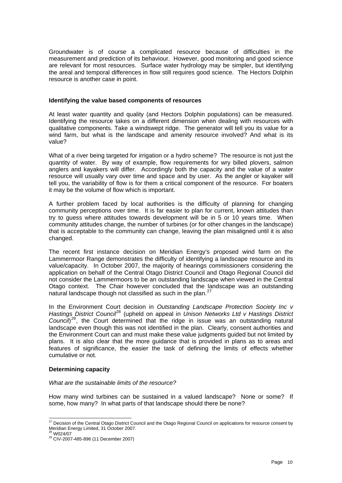<span id="page-11-0"></span>Groundwater is of course a complicated resource because of difficulties in the measurement and prediction of its behaviour. However, good monitoring and good science are relevant for most resources. Surface water hydrology may be simpler, but identifying the areal and temporal differences in flow still requires good science. The Hectors Dolphin resource is another case in point.

#### **Identifying the value based components of resources**

At least water quantity and quality (and Hectors Dolphin populations) can be measured. Identifying the resource takes on a different dimension when dealing with resources with qualitative components. Take a windswept ridge. The generator will tell you its value for a wind farm, but what is the landscape and amenity resource involved? And what is its value?

What of a river being targeted for irrigation or a hydro scheme? The resource is not just the quantity of water. By way of example, flow requirements for wry billed plovers, salmon anglers and kayakers will differ. Accordingly both the capacity and the value of a water resource will usually vary over time and space and by user. As the angler or kayaker will tell you, the variability of flow is for them a critical component of the resource. For boaters it may be the volume of flow which is important.

A further problem faced by local authorities is the difficulty of planning for changing community perceptions over time. It is far easier to plan for current, known attitudes than try to guess where attitudes towards development will be in 5 or 10 years time. When community attitudes change, the number of turbines (or for other changes in the landscape) that is acceptable to the community can change, leaving the plan misaligned until it is also changed.

The recent first instance decision on Meridian Energy's proposed wind farm on the Lammermoor Range demonstrates the difficulty of identifying a landscape resource and its value/capacity. In October 2007, the majority of hearings commissioners considering the application on behalf of the Central Otago District Council and Otago Regional Council did not consider the Lammermoors to be an outstanding landscape when viewed in the Central Otago context. The Chair however concluded that the landscape was an outstanding natural landscape though not classified as such in the plan.<sup>[27](#page-11-1)</sup>

In the Environment Court decision in *Outstanding Landscape Protection Society Inc v Hastings District Council*[28](#page-11-2) (upheld on appeal in *Unison Networks Ltd v Hastings District*  Council)<sup>[29](#page-11-3)</sup>, the Court determined that the ridge in issue was an outstanding natural landscape even though this was not identified in the plan. Clearly, consent authorities and the Environment Court can and must make these value judgments guided but not limited by plans. It is also clear that the more guidance that is provided in plans as to areas and features of significance, the easier the task of defining the limits of effects whether cumulative or not.

#### **Determining capacity**

#### *What are the sustainable limits of the resource?*

How many wind turbines can be sustained in a valued landscape? None or some? If some, how many? In what parts of that landscape should there be none?

-

<span id="page-11-1"></span> $^{27}$  Decision of the Central Otago District Council and the Otago Regional Council on applications for resource consent by Meridian Energy Limited, 31 October 2007.<br><sup>28</sup> W024/07

<span id="page-11-2"></span>

<span id="page-11-3"></span><sup>28</sup> W024/07 29 CIV-2007-485-896 (11 December 2007)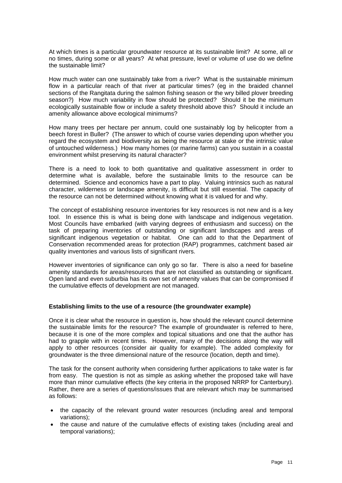<span id="page-12-0"></span>At which times is a particular groundwater resource at its sustainable limit? At some, all or no times, during some or all years? At what pressure, level or volume of use do we define the sustainable limit?

How much water can one sustainably take from a river? What is the sustainable minimum flow in a particular reach of that river at particular times? (eg in the braided channel sections of the Rangitata during the salmon fishing season or the wry billed plover breeding season?) How much variability in flow should be protected? Should it be the minimum ecologically sustainable flow or include a safety threshold above this? Should it include an amenity allowance above ecological minimums?

How many trees per hectare per annum, could one sustainably log by helicopter from a beech forest in Buller? (The answer to which of course varies depending upon whether you regard the ecosystem and biodiversity as being the resource at stake or the intrinsic value of untouched wilderness.) How many homes (or marine farms) can you sustain in a coastal environment whilst preserving its natural character?

There is a need to look to both quantitative and qualitative assessment in order to determine what is available, before the sustainable limits to the resource can be determined. Science and economics have a part to play. Valuing intrinsics such as natural character, wilderness or landscape amenity, is difficult but still essential. The capacity of the resource can not be determined without knowing what it is valued for and why.

The concept of establishing resource inventories for key resources is not new and is a key tool. In essence this is what is being done with landscape and indigenous vegetation. Most Councils have embarked (with varying degrees of enthusiasm and success) on the task of preparing inventories of outstanding or significant landscapes and areas of significant indigenous vegetation or habitat. One can add to that the Department of Conservation recommended areas for protection (RAP) programmes, catchment based air quality inventories and various lists of significant rivers.

However inventories of significance can only go so far. There is also a need for baseline amenity standards for areas/resources that are not classified as outstanding or significant. Open land and even suburbia has its own set of amenity values that can be compromised if the cumulative effects of development are not managed.

#### **Establishing limits to the use of a resource (the groundwater example)**

Once it is clear what the resource in question is, how should the relevant council determine the sustainable limits for the resource? The example of groundwater is referred to here, because it is one of the more complex and topical situations and one that the author has had to grapple with in recent times. However, many of the decisions along the way will apply to other resources (consider air quality for example). The added complexity for groundwater is the three dimensional nature of the resource (location, depth and time).

The task for the consent authority when considering further applications to take water is far from easy. The question is not as simple as asking whether the proposed take will have more than minor cumulative effects (the key criteria in the proposed NRRP for Canterbury). Rather, there are a series of questions/issues that are relevant which may be summarised as follows:

- the capacity of the relevant ground water resources (including areal and temporal variations);
- the cause and nature of the cumulative effects of existing takes (including areal and temporal variations);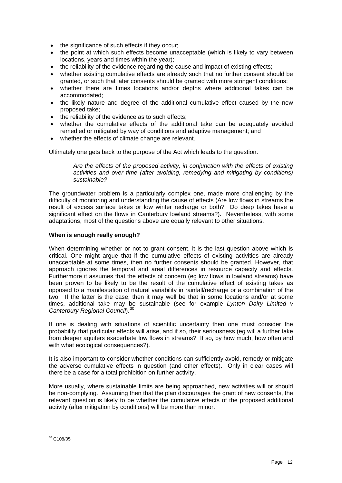- <span id="page-13-0"></span>• the significance of such effects if they occur;
- the point at which such effects become unacceptable (which is likely to vary between locations, years and times within the year);
- the reliability of the evidence regarding the cause and impact of existing effects;
- whether existing cumulative effects are already such that no further consent should be granted, or such that later consents should be granted with more stringent conditions;
- whether there are times locations and/or depths where additional takes can be accommodated;
- the likely nature and degree of the additional cumulative effect caused by the new proposed take;
- the reliability of the evidence as to such effects:
- whether the cumulative effects of the additional take can be adequately avoided remedied or mitigated by way of conditions and adaptive management; and
- whether the effects of climate change are relevant.

Ultimately one gets back to the purpose of the Act which leads to the question:

*Are the effects of the proposed activity, in conjunction with the effects of existing activities and over time (after avoiding, remedying and mitigating by conditions) sustainable?* 

The groundwater problem is a particularly complex one, made more challenging by the difficulty of monitoring and understanding the cause of effects (Are low flows in streams the result of excess surface takes or low winter recharge or both? Do deep takes have a significant effect on the flows in Canterbury lowland streams?). Nevertheless, with some adaptations, most of the questions above are equally relevant to other situations.

#### **When is enough really enough?**

When determining whether or not to grant consent, it is the last question above which is critical. One might argue that if the cumulative effects of existing activities are already unacceptable at some times, then no further consents should be granted. However, that approach ignores the temporal and areal differences in resource capacity and effects. Furthermore it assumes that the effects of concern (eg low flows in lowland streams) have been proven to be likely to be the result of the cumulative effect of existing takes as opposed to a manifestation of natural variability in rainfall/recharge or a combination of the two. If the latter is the case, then it may well be that in some locations and/or at some times, additional take may be sustainable (see for example *Lynton Dairy Limited v Canterbury Regional Council*).[30](#page-13-1)

If one is dealing with situations of scientific uncertainty then one must consider the probability that particular effects will arise, and if so, their seriousness (eg will a further take from deeper aquifers exacerbate low flows in streams? If so, by how much, how often and with what ecological consequences?).

It is also important to consider whether conditions can sufficiently avoid, remedy or mitigate the adverse cumulative effects in question (and other effects). Only in clear cases will there be a case for a total prohibition on further activity.

More usually, where sustainable limits are being approached, new activities will or should be non-complying. Assuming then that the plan discourages the grant of new consents, the relevant question is likely to be whether the cumulative effects of the proposed additional activity (after mitigation by conditions) will be more than minor.

<span id="page-13-1"></span><sup>-</sup> $30$  C108/05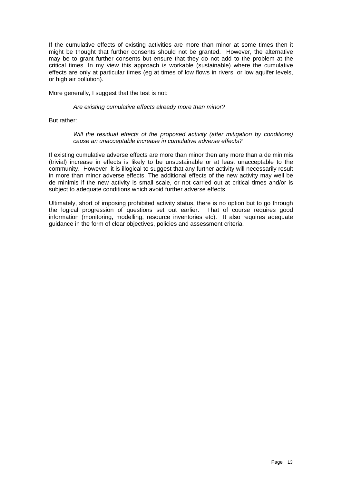If the cumulative effects of existing activities are more than minor at some times then it might be thought that further consents should not be granted. However, the alternative may be to grant further consents but ensure that they do not add to the problem at the critical times. In my view this approach is workable (sustainable) where the cumulative effects are only at particular times (eg at times of low flows in rivers, or low aquifer levels, or high air pollution).

More generally, I suggest that the test is not:

#### *Are existing cumulative effects already more than minor?*

But rather:

#### *Will the residual effects of the proposed activity (after mitigation by conditions) cause an unacceptable increase in cumulative adverse effects?*

If existing cumulative adverse effects are more than minor then any more than a de minimis (trivial) increase in effects is likely to be unsustainable or at least unacceptable to the community. However, it is illogical to suggest that any further activity will necessarily result in more than minor adverse effects. The additional effects of the new activity may well be de minimis if the new activity is small scale, or not carried out at critical times and/or is subject to adequate conditions which avoid further adverse effects.

Ultimately, short of imposing prohibited activity status, there is no option but to go through the logical progression of questions set out earlier. That of course requires good information (monitoring, modelling, resource inventories etc). It also requires adequate guidance in the form of clear objectives, policies and assessment criteria.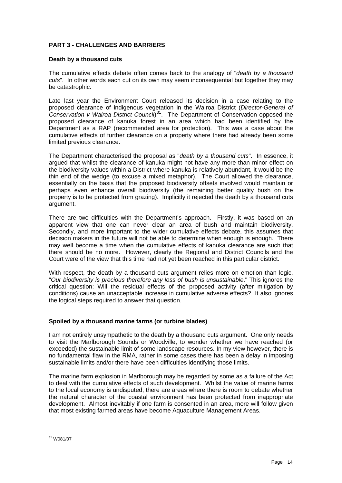# <span id="page-15-0"></span>**PART 3 - CHALLENGES AND BARRIERS**

#### **Death by a thousand cuts**

The cumulative effects debate often comes back to the analogy of "*death by a thousand cuts*". In other words each cut on its own may seem inconsequential but together they may be catastrophic.

Late last year the Environment Court released its decision in a case relating to the proposed clearance of indigenous vegetation in the Wairoa District (*Director-General of Conservation v Wairoa District Council*) [31](#page-15-1)*.* The Department of Conservation opposed the proposed clearance of kanuka forest in an area which had been identified by the Department as a RAP (recommended area for protection). This was a case about the cumulative effects of further clearance on a property where there had already been some limited previous clearance.

The Department characterised the proposal as "*death by a thousand cuts*". In essence, it argued that whilst the clearance of kanuka might not have any more than minor effect on the biodiversity values within a District where kanuka is relatively abundant, it would be the thin end of the wedge (to excuse a mixed metaphor). The Court allowed the clearance, essentially on the basis that the proposed biodiversity offsets involved would maintain or perhaps even enhance overall biodiversity (the remaining better quality bush on the property is to be protected from grazing). Implicitly it rejected the death by a thousand cuts argument.

There are two difficulties with the Department's approach. Firstly, it was based on an apparent view that one can never clear an area of bush and maintain biodiversity. Secondly, and more important to the wider cumulative effects debate, this assumes that decision makers in the future will not be able to determine when enough is enough. There may well become a time when the cumulative effects of kanuka clearance are such that there should be no more. However, clearly the Regional and District Councils and the Court were of the view that this time had not yet been reached in this particular district.

With respect, the death by a thousand cuts argument relies more on emotion than logic. "*Our biodiversity is precious therefore any loss of bush is unsustainable*." This ignores the critical question: Will the residual effects of the proposed activity (after mitigation by conditions) cause an unacceptable increase in cumulative adverse effects? It also ignores the logical steps required to answer that question.

#### **Spoiled by a thousand marine farms (or turbine blades)**

I am not entirely unsympathetic to the death by a thousand cuts argument. One only needs to visit the Marlborough Sounds or Woodville, to wonder whether we have reached (or exceeded) the sustainable limit of some landscape resources. In my view however, there is no fundamental flaw in the RMA, rather in some cases there has been a delay in imposing sustainable limits and/or there have been difficulties identifying those limits.

The marine farm explosion in Marlborough may be regarded by some as a failure of the Act to deal with the cumulative effects of such development. Whilst the value of marine farms to the local economy is undisputed, there are areas where there is room to debate whether the natural character of the coastal environment has been protected from inappropriate development. Almost inevitably if one farm is consented in an area, more will follow given that most existing farmed areas have become Aquaculture Management Areas.

<span id="page-15-1"></span><sup>-</sup> $31$  W081/07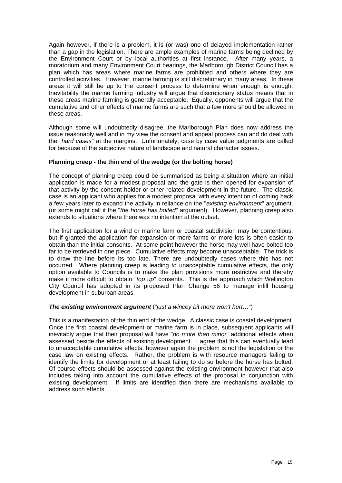<span id="page-16-0"></span>Again however, if there is a problem, it is (or was) one of delayed implementation rather than a gap in the legislation. There are ample examples of marine farms being declined by the Environment Court or by local authorities at first instance. After many years, a moratorium and many Environment Court hearings, the Marlborough District Council has a plan which has areas where marine farms are prohibited and others where they are controlled activities. However, marine farming is still discretionary in many areas. In these areas it will still be up to the consent process to determine when enough is enough. Inevitability the marine farming industry will argue that discretionary status means that in these areas marine farming is generally acceptable. Equally, opponents will argue that the cumulative and other effects of marine farms are such that a few more should be allowed in these areas.

Although some will undoubtedly disagree, the Marlborough Plan does now address the issue reasonably well and in my view the consent and appeal process can and do deal with the "*hard cases*" at the margins. Unfortunately, case by case value judgments are called for because of the subjective nature of landscape and natural character issues.

#### **Planning creep - the thin end of the wedge (or the bolting horse)**

The concept of planning creep could be summarised as being a situation where an initial application is made for a modest proposal and the gate is then opened for expansion of that activity by the consent holder or other related development in the future. The classic case is an applicant who applies for a modest proposal with every intention of coming back a few years later to expand the activity in reliance on the "*existing environment*" argument. (or some might call it the "*the horse has bolted*" argument). However, planning creep also extends to situations where there was no intention at the outset.

The first application for a wind or marine farm or coastal subdivision may be contentious, but if granted the application for expansion or more farms or more lots is often easier to obtain than the initial consents. At some point however the horse may well have bolted too far to be retrieved in one piece. Cumulative effects may become unacceptable. The trick is to draw the line before its too late. There are undoubtedly cases where this has not occurred. Where planning creep is leading to unacceptable cumulative effects, the only option available to Councils is to make the plan provisions more restrictive and thereby make it more difficult to obtain "*top up*" consents. This is the approach which Wellington City Council has adopted in its proposed Plan Change 56 to manage infill housing development in suburban areas.

# *The existing environment argument* ("*just a wincey bit more won't hurt…*")

This is a manifestation of the thin end of the wedge. A classic case is coastal development. Once the first coastal development or marine farm is in place, subsequent applicants will inevitably argue that their proposal will have "*no more than minor*" additional effects when assessed beside the effects of existing development. I agree that this can eventually lead to unacceptable cumulative effects, however again the problem is not the legislation or the case law on existing effects. Rather, the problem is with resource managers failing to identify the limits for development or at least failing to do so before the horse has bolted. Of course effects should be assessed against the existing environment however that also includes taking into account the cumulative effects of the proposal in conjunction with existing development. If limits are identified then there are mechanisms available to address such effects.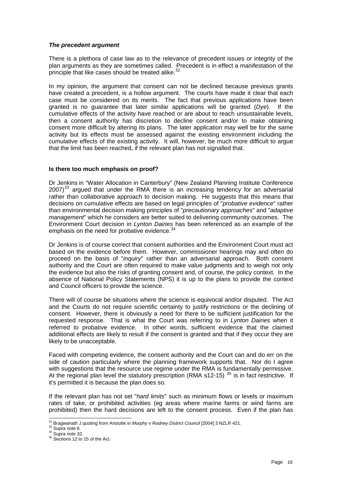## <span id="page-17-0"></span>*The precedent argument*

There is a plethora of case law as to the relevance of precedent issues or integrity of the plan arguments as they are sometimes called. Precedent is in effect a manifestation of the principle that like cases should be treated alike.<sup>[32](#page-17-1)</sup>

In my opinion, the argument that consent can not be declined because previous grants have created a precedent, is a hollow argument. The courts have made it clear that each case must be considered on its merits. The fact that previous applications have been granted is no guarantee that later similar applications will be granted (*Dye*). If the cumulative effects of the activity have reached or are about to reach unsustainable levels, then a consent authority has discretion to decline consent and/or to make obtaining consent more difficult by altering its plans. The later application may well be for the same activity but its effects must be assessed against the existing environment including the cumulative effects of the existing activity. It will, however, be much more difficult to argue that the limit has been reached, if the relevant plan has not signalled that.

# **Is there too much emphasis on proof?**

Dr Jenkins in "Water Allocation in Canterbury" (New Zealand Planning Institute Conference  $2007$ <sup>[33](#page-17-2)</sup> argued that under the RMA there is an increasing tendency for an adversarial rather than collaborative approach to decision making. He suggests that this means that decisions on cumulative effects are based on legal principles of "*probative evidence*" rather than environmental decision making principles of "*precautionary approaches*" and "*adaptive management*" which he considers are better suited to delivering community outcomes. The Environment Court decision in *Lynton Dairies* has been referenced as an example of the emphasis on the need for probative evidence.<sup>[34](#page-17-3)</sup>

Dr Jenkins is of course correct that consent authorities and the Environment Court must act based on the evidence before them. However, commissioner hearings may and often do proceed on the basis of "*inquiry*" rather than an adversarial approach. Both consent authority and the Court are often required to make value judgments and to weigh not only the evidence but also the risks of granting consent and, of course, the policy context. In the absence of National Policy Statements (NPS) it is up to the plans to provide the context and Council officers to provide the science.

There will of course be situations where the science is equivocal and/or disputed. The Act and the Courts do not require scientific certainty to justify restrictions or the declining of consent. However, there is obviously a need for there to be sufficient justification for the requested response. That is what the Court was referring to in *Lynton Dairies* when it referred to probative evidence. In other words, sufficient evidence that the claimed additional effects are likely to result if the consent is granted and that if they occur they are likely to be unacceptable.

Faced with competing evidence, the consent authority and the Court can and do err on the side of caution particularly where the planning framework supports that. Nor do I agree with suggestions that the resource use regime under the RMA is fundamentally permissive. At the regional plan level the statutory prescription (RMA s12-15)<sup>[35](#page-17-4)</sup> is in fact restrictive. If it's permitted it is because the plan does so.

If the relevant plan has not set "*hard limits*" such as minimum flows or levels or maximum rates of take, or prohibited activities (eg areas where marine farms or wind farms are prohibited) then the hard decisions are left to the consent process. Even if the plan has

<span id="page-17-1"></span><sup>-</sup><sup>32</sup> Bragwanath J quoting from Aristotle in *Murphy v Rodney District Council* [2004] 3 NZLR 421.<br><sup>33</sup> Supra note 6<br><sup>34</sup> Supra note 32. 35 Sections 12 to 15 of the Act.

<span id="page-17-4"></span><span id="page-17-3"></span><span id="page-17-2"></span>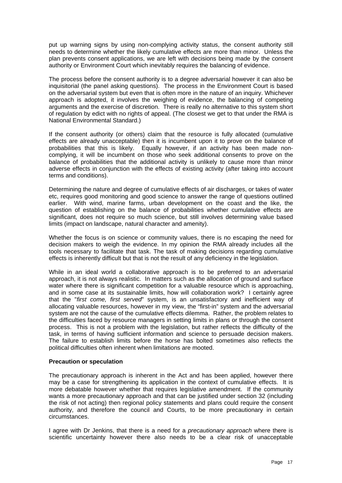<span id="page-18-0"></span>put up warning signs by using non-complying activity status, the consent authority still needs to determine whether the likely cumulative effects are more than minor. Unless the plan prevents consent applications, we are left with decisions being made by the consent authority or Environment Court which inevitably requires the balancing of evidence.

The process before the consent authority is to a degree adversarial however it can also be inquisitorial (the panel asking questions). The process in the Environment Court is based on the adversarial system but even that is often more in the nature of an inquiry. Whichever approach is adopted, it involves the weighing of evidence, the balancing of competing arguments and the exercise of discretion. There is really no alternative to this system short of regulation by edict with no rights of appeal. (The closest we get to that under the RMA is National Environmental Standard.)

If the consent authority (or others) claim that the resource is fully allocated (cumulative effects are already unacceptable) then it is incumbent upon it to prove on the balance of probabilities that this is likely. Equally however, if an activity has been made noncomplying, it will be incumbent on those who seek additional consents to prove on the balance of probabilities that the additional activity is unlikely to cause more than minor adverse effects in conjunction with the effects of existing activity (after taking into account terms and conditions).

Determining the nature and degree of cumulative effects of air discharges, or takes of water etc, requires good monitoring and good science to answer the range of questions outlined earlier. With wind, marine farms, urban development on the coast and the like, the question of establishing on the balance of probabilities whether cumulative effects are significant, does not require so much science, but still involves determining value based limits (impact on landscape, natural character and amenity).

Whether the focus is on science or community values, there is no escaping the need for decision makers to weigh the evidence. In my opinion the RMA already includes all the tools necessary to facilitate that task. The task of making decisions regarding cumulative effects is inherently difficult but that is not the result of any deficiency in the legislation.

While in an ideal world a collaborative approach is to be preferred to an adversarial approach, it is not always realistic. In matters such as the allocation of ground and surface water where there is significant competition for a valuable resource which is approaching, and in some case at its sustainable limits, how will collaboration work? I certainly agree that the "*first come, first served*" system, is an unsatisfactory and inefficient way of allocating valuable resources, however in my view, the "first-in" system and the adversarial system are not the cause of the cumulative effects dilemma. Rather, the problem relates to the difficulties faced by resource managers in setting limits in plans or through the consent process. This is not a problem with the legislation, but rather reflects the difficulty of the task, in terms of having sufficient information and science to persuade decision makers. The failure to establish limits before the horse has bolted sometimes also reflects the political difficulties often inherent when limitations are mooted.

#### **Precaution or speculation**

The precautionary approach is inherent in the Act and has been applied, however there may be a case for strengthening its application in the context of cumulative effects. It is more debatable however whether that requires legislative amendment. If the community wants a more precautionary approach and that can be justified under section 32 (including the risk of not acting) then regional policy statements and plans could require the consent authority, and therefore the council and Courts, to be more precautionary in certain circumstances.

I agree with Dr Jenkins, that there is a need for a *precautionary approach* where there is scientific uncertainty however there also needs to be a clear risk of unacceptable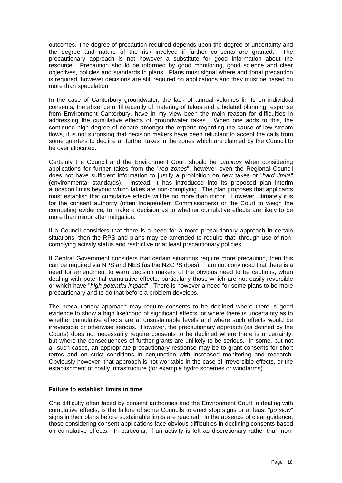<span id="page-19-0"></span>outcomes. The degree of precaution required depends upon the degree of uncertainty and the degree and nature of the risk involved if further consents are granted. The precautionary approach is not however a substitute for good information about the resource. Precaution should be informed by good monitoring, good science and clear objectives, policies and standards in plans. Plans must signal where additional precaution is required, however decisions are still required on applications and they must be based on more than speculation.

In the case of Canterbury groundwater, the lack of annual volumes limits on individual consents, the absence until recently of metering of takes and a belated planning response from Environment Canterbury, have in my view been the main reason for difficulties in addressing the cumulative effects of groundwater takes. When one adds to this, the continued high degree of debate amongst the experts regarding the cause of low stream flows, it is not surprising that decision makers have been reluctant to accept the calls from some quarters to decline all further takes in the zones which are claimed by the Council to be over allocated.

Certainly the Council and the Environment Court should be *cautious* when considering applications for further takes from the "*red zones*", however even the Regional Council does not have sufficient information to justify a prohibition on new takes or "*hard limits*" (environmental standards). Instead, it has introduced into its proposed plan interim allocation limits beyond which takes are non-complying. The plan proposes that applicants must establish that cumulative effects will be no more than minor. However ultimately it is for the consent authority (often Independent Commissioners) or the Court to weigh the competing evidence, to make a decision as to whether cumulative effects are likely to be more than minor after mitigation.

If a Council considers that there is a need for a more precautionary approach in certain situations, then the RPS and plans may be amended to require that, through use of noncomplying activity status and restrictive or at least precautionary policies.

If Central Government considers that certain situations require more precaution, then this can be required via NPS and NES (as the NZCPS does). I am not convinced that there is a need for amendment to warn decision makers of the obvious need to be cautious, when dealing with potential cumulative effects, particularly those which are not easily reversible or which have "*high potential impact*". There is however a need for some plans to be more precautionary and to do that before a problem develops.

The precautionary approach may require consents to be declined where there is good evidence to show a high likelihood of significant effects, or where there is uncertainty as to whether cumulative effects are at unsustainable levels and where such effects would be irreversible or otherwise serious. However, the precautionary approach (as defined by the Courts) does not necessarily require consents to be declined where there is uncertainty, but where the consequences of further grants are unlikely to be serious. In some, but not all such cases, an appropriate precautionary response may be to grant consents for short terms and on strict conditions in conjunction with increased monitoring and research. Obviously however, that approach is not workable in the case of irreversible effects, or the establishment of costly infrastructure (for example hydro schemes or windfarms).

#### **Failure to establish limits in time**

One difficulty often faced by consent authorities and the Environment Court in dealing with cumulative effects, is the failure of some Councils to erect stop signs or at least "*go slow*" signs in their plans before sustainable limits are reached. In the absence of clear guidance, those considering consent applications face obvious difficulties in declining consents based on cumulative effects. In particular, if an activity is left as discretionary rather than non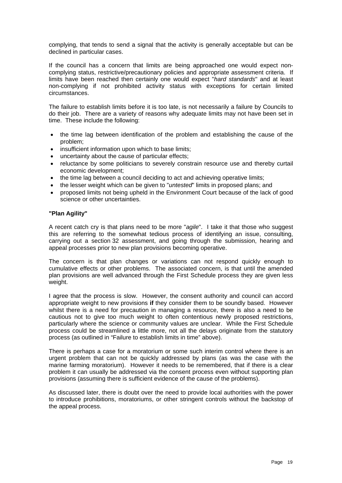<span id="page-20-0"></span>complying, that tends to send a signal that the activity is generally acceptable but can be declined in particular cases.

If the council has a concern that limits are being approached one would expect noncomplying status, restrictive/precautionary policies and appropriate assessment criteria. If limits have been reached then certainly one would expect "*hard standards*" and at least non-complying if not prohibited activity status with exceptions for certain limited circumstances.

The failure to establish limits before it is too late, is not necessarily a failure by Councils to do their job. There are a variety of reasons why adequate limits may not have been set in time. These include the following:

- the time lag between identification of the problem and establishing the cause of the problem;
- insufficient information upon which to base limits;
- uncertainty about the cause of particular effects;
- reluctance by some politicians to severely constrain resource use and thereby curtail economic development;
- the time lag between a council deciding to act and achieving operative limits;
- the lesser weight which can be given to "*untested*" limits in proposed plans; and
- proposed limits not being upheld in the Environment Court because of the lack of good science or other uncertainties.

#### **"Plan Agility"**

A recent catch cry is that plans need to be more "*agile*". I take it that those who suggest this are referring to the somewhat tedious process of identifying an issue, consulting, carrying out a section 32 assessment, and going through the submission, hearing and appeal processes prior to new plan provisions becoming operative.

The concern is that plan changes or variations can not respond quickly enough to cumulative effects or other problems. The associated concern, is that until the amended plan provisions are well advanced through the First Schedule process they are given less weight.

I agree that the process is slow. However, the consent authority and council can accord appropriate weight to new provisions **if** they consider them to be soundly based. However whilst there is a need for precaution in managing a resource, there is also a need to be cautious not to give too much weight to often contentious newly proposed restrictions, particularly where the science or community values are unclear. While the First Schedule process could be streamlined a little more, not all the delays originate from the statutory process (as outlined in "Failure to establish limits in time" above).

There is perhaps a case for a moratorium or some such interim control where there is an urgent problem that can not be quickly addressed by plans (as was the case with the marine farming moratorium).However it needs to be remembered, that if there is a clear problem it can usually be addressed via the consent process even without supporting plan provisions (assuming there is sufficient evidence of the cause of the problems).

As discussed later, there is doubt over the need to provide local authorities with the power to introduce prohibitions, moratoriums, or other stringent controls without the backstop of the appeal process.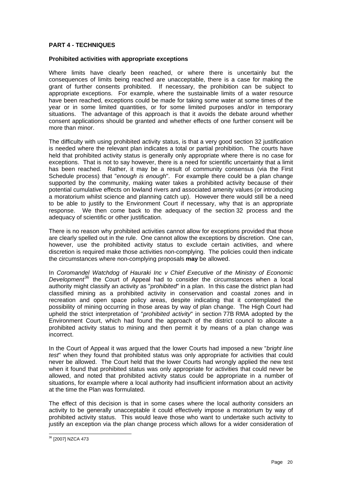# <span id="page-21-0"></span>**PART 4 - TECHNIQUES**

#### **Prohibited activities with appropriate exceptions**

Where limits have clearly been reached, or where there is uncertainly but the consequences of limits being reached are unacceptable, there is a case for making the grant of further consents prohibited. If necessary, the prohibition can be subject to appropriate exceptions. For example, where the sustainable limits of a water resource have been reached, exceptions could be made for taking some water at some times of the year or in some limited quantities, or for some limited purposes and/or in temporary situations. The advantage of this approach is that it avoids the debate around whether consent applications should be granted and whether effects of one further consent will be more than minor.

The difficulty with using prohibited activity status, is that a very good section 32 justification is needed where the relevant plan indicates a total or partial prohibition. The courts have held that prohibited activity status is generally only appropriate where there is no case for exceptions. That is not to say however, there is a need for scientific uncertainty that a limit has been reached. Rather, it may be a result of community consensus (via the First Schedule process) that "*enough is enough*". For example there could be a plan change supported by the community, making water takes a prohibited activity because of their potential cumulative effects on lowland rivers and associated amenity values (or introducing a moratorium whilst science and planning catch up). However there would still be a need to be able to justify to the Environment Court if necessary, why that is an appropriate response. We then come back to the adequacy of the section 32 process and the adequacy of scientific or other justification.

There is no reason why prohibited activities cannot allow for exceptions provided that those are clearly spelled out in the rule. One cannot allow the exceptions by discretion. One can, however, use the prohibited activity status to exclude certain activities, and where discretion is required make those activities non-complying. The policies could then indicate the circumstances where non-complying proposals **may** be allowed.

In *Coromandel Watchdog of Hauraki Inc v Chief Executive of the Ministry of Economic Development*[36](#page-21-1) the Court of Appeal had to consider the circumstances when a local authority might classify an activity as "*prohibited*" in a plan. In this case the district plan had classified mining as a prohibited activity in conservation and coastal zones and in recreation and open space policy areas, despite indicating that it contemplated the possibility of mining occurring in those areas by way of plan change. The High Court had upheld the strict interpretation of "*prohibited activity*" in section 77B RMA adopted by the Environment Court, which had found the approach of the district council to allocate a prohibited activity status to mining and then permit it by means of a plan change was incorrect.

In the Court of Appeal it was argued that the lower Courts had imposed a new "*bright line test*" when they found that prohibited status was only appropriate for activities that could never be allowed. The Court held that the lower Courts had wrongly applied the new test when it found that prohibited status was only appropriate for activities that could never be allowed, and noted that prohibited activity status could be appropriate in a number of situations, for example where a local authority had insufficient information about an activity at the time the Plan was formulated.

The effect of this decision is that in some cases where the local authority considers an activity to be generally unacceptable it could effectively impose a moratorium by way of prohibited activity status. This would leave those who want to undertake such activity to justify an exception via the plan change process which allows for a wider consideration of

<span id="page-21-1"></span><sup>-</sup>36 [2007] NZCA 473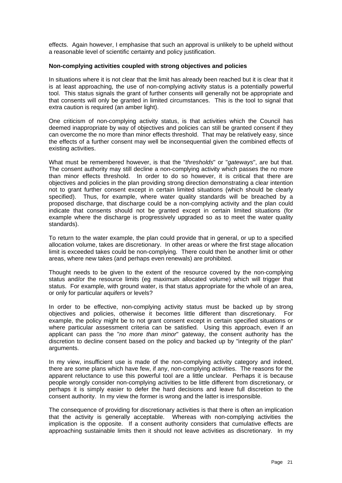<span id="page-22-0"></span>effects. Again however, I emphasise that such an approval is unlikely to be upheld without a reasonable level of scientific certainty and policy justification.

#### **Non-complying activities coupled with strong objectives and policies**

In situations where it is not clear that the limit has already been reached but it is clear that it is at least approaching, the use of non-complying activity status is a potentially powerful tool. This status signals the grant of further consents will generally not be appropriate and that consents will only be granted in limited circumstances. This is the tool to signal that extra caution is required (an amber light).

One criticism of non-complying activity status, is that activities which the Council has deemed inappropriate by way of objectives and policies can still be granted consent if they can overcome the no more than minor effects threshold. That may be relatively easy, since the effects of a further consent may well be inconsequential given the combined effects of existing activities.

What must be remembered however, is that the "*thresholds*" or "*gateways*", are but that. The consent authority may still decline a non-complying activity which passes the no more than minor effects threshold. In order to do so however, it is critical that there are objectives and policies in the plan providing strong direction demonstrating a clear intention not to grant further consent except in certain limited situations (which should be clearly specified). Thus, for example, where water quality standards will be breached by a proposed discharge, that discharge could be a non-complying activity and the plan could indicate that consents should not be granted except in certain limited situations (for example where the discharge is progressively upgraded so as to meet the water quality standards).

To return to the water example, the plan could provide that in general, or up to a specified allocation volume, takes are discretionary. In other areas or where the first stage allocation limit is exceeded takes could be non-complying. There could then be another limit or other areas, where new takes (and perhaps even renewals) are prohibited.

Thought needs to be given to the extent of the resource covered by the non-complying status and/or the resource limits (eg maximum allocated volume) which will trigger that status. For example, with ground water, is that status appropriate for the whole of an area, or only for particular aquifers or levels?

In order to be effective, non-complying activity status must be backed up by strong objectives and policies, otherwise it becomes little different than discretionary. For example, the policy might be to not grant consent except in certain specified situations or where particular assessment criteria can be satisfied. Using this approach, even if an applicant can pass the "*no more than minor*" gateway, the consent authority has the discretion to decline consent based on the policy and backed up by "integrity of the plan" arguments.

In my view, insufficient use is made of the non-complying activity category and indeed, there are some plans which have few, if any, non-complying activities. The reasons for the apparent reluctance to use this powerful tool are a little unclear. Perhaps it is because people wrongly consider non-complying activities to be little different from discretionary, or perhaps it is simply easier to defer the hard decisions and leave full discretion to the consent authority. In my view the former is wrong and the latter is irresponsible.

The consequence of providing for discretionary activities is that there is often an implication that the activity is generally acceptable. Whereas with non-complying activities the implication is the opposite. If a consent authority considers that cumulative effects are approaching sustainable limits then it should not leave activities as discretionary. In my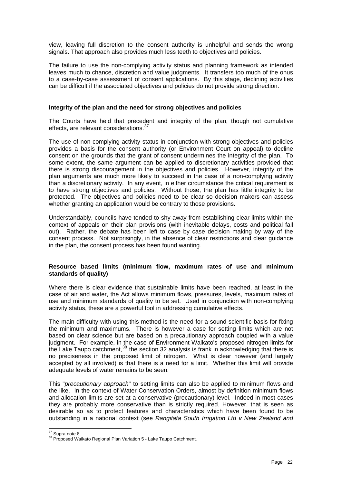<span id="page-23-0"></span>view, leaving full discretion to the consent authority is unhelpful and sends the wrong signals. That approach also provides much less teeth to objectives and policies.

The failure to use the non-complying activity status and planning framework as intended leaves much to chance, discretion and value judgments. It transfers too much of the onus to a case-by-case assessment of consent applications. By this stage, declining activities can be difficult if the associated objectives and policies do not provide strong direction.

#### **Integrity of the plan and the need for strong objectives and policies**

The Courts have held that precedent and integrity of the plan, though not cumulative effects, are relevant considerations.<sup>[37](#page-23-1)</sup>

The use of non-complying activity status in conjunction with strong objectives and policies provides a basis for the consent authority (or Environment Court on appeal) to decline consent on the grounds that the grant of consent undermines the integrity of the plan. To some extent, the same argument can be applied to discretionary activities provided that there is strong discouragement in the objectives and policies. However, integrity of the plan arguments are much more likely to succeed in the case of a non-complying activity than a discretionary activity. In any event, in either circumstance the critical requirement is to have strong objectives and policies. Without those, the plan has little integrity to be protected. The objectives and policies need to be clear so decision makers can assess whether granting an application would be contrary to those provisions.

Understandably, councils have tended to shy away from establishing clear limits within the context of appeals on their plan provisions (with inevitable delays, costs and political fall out). Rather, the debate has been left to case by case decision making by way of the consent process. Not surprisingly, in the absence of clear restrictions and clear guidance in the plan, the consent process has been found wanting.

#### **Resource based limits (minimum flow, maximum rates of use and minimum standards of quality)**

Where there is clear evidence that sustainable limits have been reached, at least in the case of air and water, the Act allows minimum flows, pressures, levels, maximum rates of use and minimum standards of quality to be set. Used in conjunction with non-complying activity status, these are a powerful tool in addressing cumulative effects.

The main difficulty with using this method is the need for a sound scientific basis for fixing the minimum and maximums. There is however a case for setting limits which are not based on clear science but are based on a precautionary approach coupled with a value judgment. For example, in the case of Environment Waikato's proposed nitrogen limits for the Lake Taupo catchment,  $38$  the section 32 analysis is frank in acknowledging that there is no preciseness in the proposed limit of nitrogen. What is clear however (and largely accepted by all involved) is that there is a need for a limit. Whether this limit will provide adequate levels of water remains to be seen.

This "*precautionary approach*" to setting limits can also be applied to minimum flows and the like. In the context of Water Conservation Orders, almost by definition minimum flows and allocation limits are set at a conservative (precautionary) level. Indeed in most cases they are probably more conservative than is strictly required. However, that is seen as desirable so as to protect features and characteristics which have been found to be outstanding in a national context (see *Rangitata South Irrigation Ltd v New Zealand and* 

<span id="page-23-1"></span> $37$  Supra note 8.

<span id="page-23-2"></span><sup>&</sup>lt;sup>38</sup> Proposed Waikato Regional Plan Variation 5 - Lake Taupo Catchment.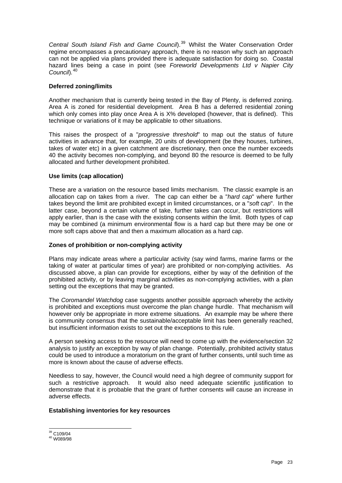<span id="page-24-0"></span>*Central South Island Fish and Game Council*).[39](#page-24-1) Whilst the Water Conservation Order regime encompasses a precautionary approach, there is no reason why such an approach can not be applied via plans provided there is adequate satisfaction for doing so. Coastal hazard lines being a case in point (see *Foreworld Developments Ltd v Napier City Council*)*.* [40](#page-24-2)

# **Deferred zoning/limits**

Another mechanism that is currently being tested in the Bay of Plenty, is deferred zoning. Area A is zoned for residential development. Area B has a deferred residential zoning which only comes into play once Area A is X% developed (however, that is defined). This technique or variations of it may be applicable to other situations.

This raises the prospect of a "*progressive threshold*" to map out the status of future activities in advance that, for example, 20 units of development (be they houses, turbines, takes of water etc) in a given catchment are discretionary, then once the number exceeds 40 the activity becomes non-complying, and beyond 80 the resource is deemed to be fully allocated and further development prohibited.

# **Use limits (cap allocation)**

These are a variation on the resource based limits mechanism. The classic example is an allocation cap on takes from a river. The cap can either be a "*hard cap*" where further takes beyond the limit are prohibited except in limited circumstances, or a "*soft cap*". In the latter case, beyond a certain volume of take, further takes can occur, but restrictions will apply earlier, than is the case with the existing consents within the limit. Both types of cap may be combined (a minimum environmental flow is a hard cap but there may be one or more soft caps above that and then a maximum allocation as a hard cap.

# **Zones of prohibition or non-complying activity**

Plans may indicate areas where a particular activity (say wind farms, marine farms or the taking of water at particular times of year) are prohibited or non-complying activities. As discussed above, a plan can provide for exceptions, either by way of the definition of the prohibited activity, or by leaving marginal activities as non-complying activities, with a plan setting out the exceptions that may be granted.

The *Coromandel Watchdog* case suggests another possible approach whereby the activity is prohibited and exceptions must overcome the plan change hurdle. That mechanism will however only be appropriate in more extreme situations. An example may be where there is community consensus that the sustainable/acceptable limit has been generally reached, but insufficient information exists to set out the exceptions to this rule.

A person seeking access to the resource will need to come up with the evidence/section 32 analysis to justify an exception by way of plan change. Potentially, prohibited activity status could be used to introduce a moratorium on the grant of further consents, until such time as more is known about the cause of adverse effects.

Needless to say, however, the Council would need a high degree of community support for such a restrictive approach. It would also need adequate scientific justification to demonstrate that it is probable that the grant of further consents will cause an increase in adverse effects.

#### **Establishing inventories for key resources**

<span id="page-24-1"></span><sup>&</sup>lt;sup>39</sup> C109/04

<span id="page-24-2"></span><sup>&</sup>lt;sup>40</sup> W089/98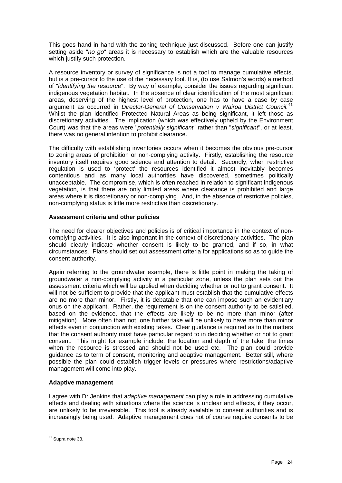<span id="page-25-0"></span>This goes hand in hand with the zoning technique just discussed. Before one can justify setting aside "*no go*" areas it is necessary to establish which are the valuable resources which justify such protection.

A resource inventory or survey of significance is not a tool to manage cumulative effects, but is a pre-cursor to the use of the necessary tool. It is, (to use Salmon's words) a method of "*identifying the resource*". By way of example, consider the issues regarding significant indigenous vegetation habitat. In the absence of clear identification of the most significant areas, deserving of the highest level of protection, one has to have a case by case argument as occurred in *Director-General of Conservation v Wairoa District Council.*[41](#page-25-1) Whilst the plan identified Protected Natural Areas as being significant, it left those as discretionary activities. The implication (which was effectively upheld by the Environment Court) was that the areas were "*potentially significant*" rather than "*significant*", or at least, there was no general intention to prohibit clearance.

The difficulty with establishing inventories occurs when it becomes the obvious pre-cursor to zoning areas of prohibition or non-complying activity. Firstly, establishing the resource inventory itself requires good science and attention to detail. Secondly, when restrictive regulation is used to 'protect' the resources identified it almost inevitably becomes contentious and as many local authorities have discovered, sometimes politically unacceptable. The compromise, which is often reached in relation to significant indigenous vegetation, is that there are only limited areas where clearance is prohibited and large areas where it is discretionary or non-complying. And, in the absence of restrictive policies, non-complying status is little more restrictive than discretionary.

# **Assessment criteria and other policies**

The need for clearer objectives and policies is of critical importance in the context of noncomplying activities. It is also important in the context of discretionary activities. The plan should clearly indicate whether consent is likely to be granted, and if so, in what circumstances. Plans should set out assessment criteria for applications so as to guide the consent authority.

Again referring to the groundwater example, there is little point in making the taking of groundwater a non-complying activity in a particular zone, unless the plan sets out the assessment criteria which will be applied when deciding whether or not to grant consent. It will not be sufficient to provide that the applicant must establish that the cumulative effects are no more than minor. Firstly, it is debatable that one can impose such an evidentiary onus on the applicant. Rather, the requirement is on the consent authority to be satisfied, based on the evidence, that the effects are likely to be no more than minor (after mitigation). More often than not, one further take will be unlikely to have more than minor effects even in conjunction with existing takes. Clear guidance is required as to the matters that the consent authority must have particular regard to in deciding whether or not to grant consent. This might for example include: the location and depth of the take, the times when the resource is stressed and should not be used etc. The plan could provide guidance as to term of consent, monitoring and adaptive management. Better still, where possible the plan could establish trigger levels or pressures where restrictions/adaptive management will come into play.

#### **Adaptive management**

I agree with Dr Jenkins that a*daptive management* can play a role in addressing cumulative effects and dealing with situations where the science is unclear and effects, if they occur, are unlikely to be irreversible. This tool is already available to consent authorities and is increasingly being used. Adaptive management does not of course require consents to be

<span id="page-25-1"></span><sup>-</sup> $41$  Supra note 33.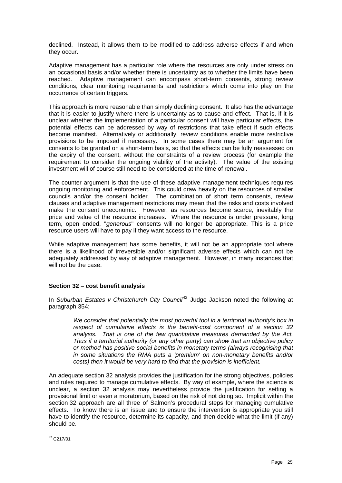<span id="page-26-0"></span>declined. Instead, it allows them to be modified to address adverse effects if and when they occur.

Adaptive management has a particular role where the resources are only under stress on an occasional basis and/or whether there is uncertainty as to whether the limits have been reached. Adaptive management can encompass short-term consents, strong review conditions, clear monitoring requirements and restrictions which come into play on the occurrence of certain triggers.

This approach is more reasonable than simply declining consent. It also has the advantage that it is easier to justify where there is uncertainty as to cause and effect. That is, if it is unclear whether the implementation of a particular consent will have particular effects, the potential effects can be addressed by way of restrictions that take effect if such effects become manifest. Alternatively or additionally, review conditions enable more restrictive provisions to be imposed if necessary. In some cases there may be an argument for consents to be granted on a short-term basis, so that the effects can be fully reassessed on the expiry of the consent, without the constraints of a review process (for example the requirement to consider the ongoing viability of the activity). The value of the existing investment will of course still need to be considered at the time of renewal.

The counter argument is that the use of these adaptive management techniques requires ongoing monitoring and enforcement. This could draw heavily on the resources of smaller councils and/or the consent holder. The combination of short term consents, review clauses and adaptive management restrictions may mean that the risks and costs involved make the consent uneconomic. However, as resources become scarce, inevitably the price and value of the resource increases. Where the resource is under pressure, long term, open ended, "*generous*" consents will no longer be appropriate. This is a price resource users will have to pay if they want access to the resource.

While adaptive management has some benefits, it will not be an appropriate tool where there is a likelihood of irreversible and/or significant adverse effects which can not be adequately addressed by way of adaptive management. However, in many instances that will not be the case.

# **Section 32 – cost benefit analysis**

In *Suburban Estates v Christchurch City Council<sup>[42](#page-26-1)</sup> Judge Jackson noted the following at* paragraph 354:

*We consider that potentially the most powerful tool in a territorial authority's box in respect of cumulative effects is the benefit-cost component of a section 32 analysis. That is one of the few quantitative measures demanded by the Act. Thus if a territorial authority (or any other party) can show that an objective policy or method has positive social benefits in monetary terms (always recognising that in some situations the RMA puts a 'premium' on non-monetary benefits and/or costs) then it would be very hard to find that the provision is inefficient.* 

An adequate section 32 analysis provides the justification for the strong objectives, policies and rules required to manage cumulative effects. By way of example, where the science is unclear, a section 32 analysis may nevertheless provide the justification for setting a provisional limit or even a moratorium, based on the risk of not doing so. Implicit within the section 32 approach are all three of Salmon's procedural steps for managing cumulative effects. To know there is an issue and to ensure the intervention is appropriate you still have to identify the resource, determine its capacity, and then decide what the limit (if any) should be.

<span id="page-26-1"></span><sup>-</sup> $42$  C217/01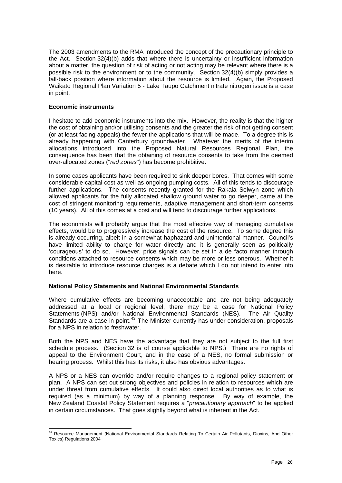<span id="page-27-0"></span>The 2003 amendments to the RMA introduced the concept of the precautionary principle to the Act. Section 32(4)(b) adds that where there is uncertainty or insufficient information about a matter, the question of risk of acting or not acting may be relevant where there is a possible risk to the environment or to the community. Section 32(4)(b) simply provides a fall-back position where information about the resource is limited. Again, the Proposed Waikato Regional Plan Variation 5 - Lake Taupo Catchment nitrate nitrogen issue is a case in point.

#### **Economic instruments**

I hesitate to add economic instruments into the mix. However, the reality is that the higher the cost of obtaining and/or utilising consents and the greater the risk of not getting consent (or at least facing appeals) the fewer the applications that will be made. To a degree this is already happening with Canterbury groundwater. Whatever the merits of the interim allocations introduced into the Proposed Natural Resources Regional Plan, the consequence has been that the obtaining of resource consents to take from the deemed over-allocated zones ("*red zones*") has become prohibitive.

In some cases applicants have been required to sink deeper bores. That comes with some considerable capital cost as well as ongoing pumping costs. All of this tends to discourage further applications. The consents recently granted for the Rakaia Selwyn zone which allowed applicants for the fully allocated shallow ground water to go deeper, came at the cost of stringent monitoring requirements, adaptive management and short-term consents (10 years). All of this comes at a cost and will tend to discourage further applications.

The economists will probably argue that the most effective way of managing cumulative effects, would be to progressively increase the cost of the resource. To some degree this is already occurring, albeit in a somewhat haphazard and unintentional manner. Council's have limited ability to charge for water directly and it is generally seen as politically 'courageous' to do so. However, price signals can be set in a de facto manner through conditions attached to resource consents which may be more or less onerous. Whether it is desirable to introduce resource charges is a debate which I do not intend to enter into here.

#### **National Policy Statements and National Environmental Standards**

Where cumulative effects are becoming unacceptable and are not being adequately addressed at a local or regional level, there may be a case for National Policy Statements (NPS) and/or National Environmental Standards (NES). The Air Quality Standards are a case in point. $43$  The Minister currently has under consideration, proposals for a NPS in relation to freshwater.

Both the NPS and NES have the advantage that they are not subject to the full first schedule process. (Section 32 is of course applicable to NPS.) There are no rights of appeal to the Environment Court, and in the case of a NES, no formal submission or hearing process. Whilst this has its risks, it also has obvious advantages.

A NPS or a NES can override and/or require changes to a regional policy statement or plan. A NPS can set out strong objectives and policies in relation to resources which are under threat from cumulative effects. It could also direct local authorities as to what is required (as a minimum) by way of a planning response. By way of example, the New Zealand Coastal Policy Statement requires a "*precautionary approach*" to be applied in certain circumstances. That goes slightly beyond what is inherent in the Act.

<span id="page-27-1"></span><sup>-</sup><sup>43</sup> Resource Management (National Environmental Standards Relating To Certain Air Pollutants, Dioxins, And Other [Toxics\) Regulations 2004](http://www.legislation.govt.nz/)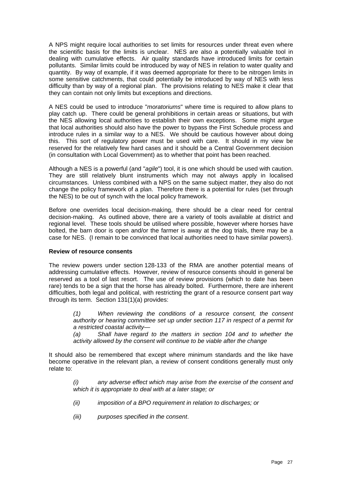<span id="page-28-0"></span>A NPS might require local authorities to set limits for resources under threat even where the scientific basis for the limits is unclear. NES are also a potentially valuable tool in dealing with cumulative effects. Air quality standards have introduced limits for certain pollutants. Similar limits could be introduced by way of NES in relation to water quality and quantity. By way of example, if it was deemed appropriate for there to be nitrogen limits in some sensitive catchments, that could potentially be introduced by way of NES with less difficulty than by way of a regional plan. The provisions relating to NES make it clear that they can contain not only limits but exceptions and directions.

A NES could be used to introduce "*moratoriums*" where time is required to allow plans to play catch up. There could be general prohibitions in certain areas or situations, but with the NES allowing local authorities to establish their own exceptions. Some might argue that local authorities should also have the power to bypass the First Schedule process and introduce rules in a similar way to a NES. We should be cautious however about doing this. This sort of regulatory power must be used with care. It should in my view be reserved for the relatively few hard cases and it should be a Central Government decision (in consultation with Local Government) as to whether that point has been reached.

Although a NES is a powerful (and "*agile*") tool, it is one which should be used with caution. They are still relatively blunt instruments which may not always apply in localised circumstances. Unless combined with a NPS on the same subject matter, they also do not change the policy framework of a plan. Therefore there is a potential for rules (set through the NES) to be out of synch with the local policy framework.

Before one overrides local decision-making, there should be a clear need for central decision-making. As outlined above, there are a variety of tools available at district and regional level. These tools should be utilised where possible, however where horses have bolted, the barn door is open and/or the farmer is away at the dog trials, there may be a case for NES. (I remain to be convinced that local authorities need to have similar powers).

# **Review of resource consents**

The review powers under section 128-133 of the RMA are another potential means of addressing cumulative effects. However, review of resource consents should in general be reserved as a tool of last resort. The use of review provisions (which to date has been rare) tends to be a sign that the horse has already bolted. Furthermore, there are inherent difficulties, both legal and political, with restricting the grant of a resource consent part way through its term. Section 131(1)(a) provides:

*(1) When reviewing the conditions of a resource consent, the consent authority or hearing committee set up under section 117 in respect of a permit for a restricted coastal activity—* 

*(a) Shall have regard to the matters in section 104 and to whether the activity allowed by the consent will continue to be viable after the change* 

It should also be remembered that except where minimum standards and the like have become operative in the relevant plan, a review of consent conditions generally must only relate to:

*(i) any adverse effect which may arise from the exercise of the consent and which it is appropriate to deal with at a later stage; or* 

- *(ii) imposition of a BPO requirement in relation to discharges; or*
- *(iii) purposes specified in the consent*.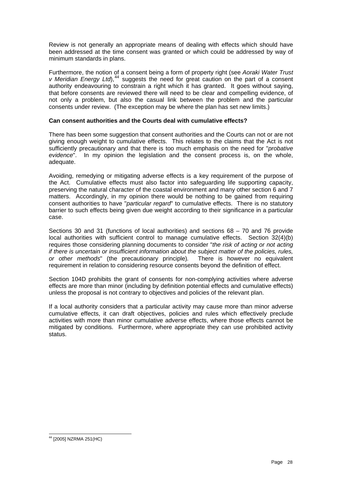<span id="page-29-0"></span>Review is not generally an appropriate means of dealing with effects which should have been addressed at the time consent was granted or which could be addressed by way of minimum standards in plans.

Furthermore, the notion of a consent being a form of property right (see *Aoraki Water Trust v Meridian Energy Ltd*),<sup>[44](#page-29-1)</sup> suggests the need for great caution on the part of a consent authority endeavouring to constrain a right which it has granted. It goes without saying, that before consents are reviewed there will need to be clear and compelling evidence, of not only a problem, but also the casual link between the problem and the particular consents under review. (The exception may be where the plan has set new limits.)

# **Can consent authorities and the Courts deal with cumulative effects?**

There has been some suggestion that consent authorities and the Courts can not or are not giving enough weight to cumulative effects. This relates to the claims that the Act is not sufficiently precautionary and that there is too much emphasis on the need for "*probative evidence*". In my opinion the legislation and the consent process is, on the whole, adequate.

Avoiding, remedying or mitigating adverse effects is a key requirement of the purpose of the Act. Cumulative effects must also factor into safeguarding life supporting capacity, preserving the natural character of the coastal environment and many other section 6 and 7 matters. Accordingly, in my opinion there would be nothing to be gained from requiring consent authorities to have "*particular regard*" to cumulative effects. There is no statutory barrier to such effects being given due weight according to their significance in a particular case.

Sections 30 and 31 (functions of local authorities) and sections 68 – 70 and 76 provide local authorities with sufficient control to manage cumulative effects. Section 32(4)(b) requires those considering planning documents to consider "*the risk of acting or not acting if there is uncertain or insufficient information about the subject matter of the policies, rules, or other methods*" (the precautionary principle)*.* There is however no equivalent requirement in relation to considering resource consents beyond the definition of effect.

Section 104D prohibits the grant of consents for non-complying activities where adverse effects are more than minor (including by definition potential effects and cumulative effects) unless the proposal is not contrary to objectives and policies of the relevant plan.

If a local authority considers that a particular activity may cause more than minor adverse cumulative effects, it can draft objectives, policies and rules which effectively preclude activities with more than minor cumulative adverse effects, where those effects cannot be mitigated by conditions. Furthermore, where appropriate they can use prohibited activity status.

<span id="page-29-1"></span><sup>-</sup>44 [2005] NZRMA 251(HC)